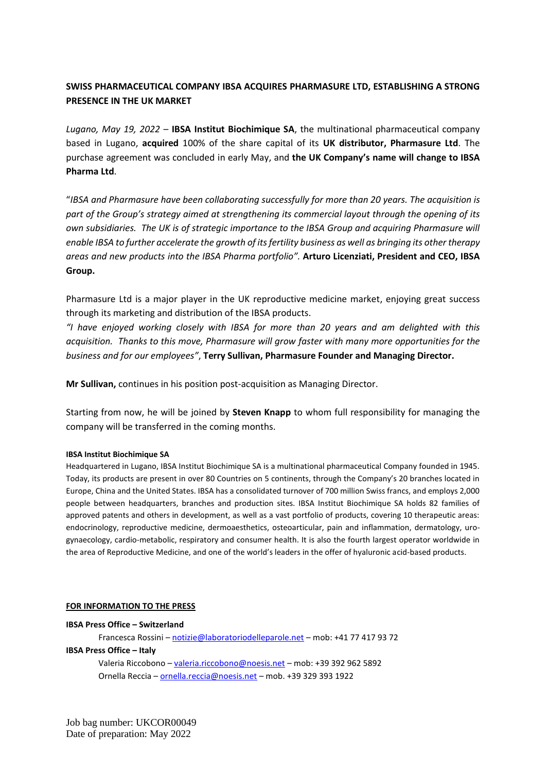# **SWISS PHARMACEUTICAL COMPANY IBSA ACQUIRES PHARMASURE LTD, ESTABLISHING A STRONG PRESENCE IN THE UK MARKET**

*Lugano, May 19, 2022* – **IBSA Institut Biochimique SA**, the multinational pharmaceutical company based in Lugano, **acquired** 100% of the share capital of its **UK distributor, Pharmasure Ltd**. The purchase agreement was concluded in early May, and **the UK Company's name will change to IBSA Pharma Ltd**.

"*IBSA and Pharmasure have been collaborating successfully for more than 20 years. The acquisition is part of the Group's strategy aimed at strengthening its commercial layout through the opening of its own subsidiaries. The UK is of strategic importance to the IBSA Group and acquiring Pharmasure will enable IBSA to further accelerate the growth of its fertility business as well as bringing its other therapy areas and new products into the IBSA Pharma portfolio".* **Arturo Licenziati, President and CEO, IBSA Group.**

Pharmasure Ltd is a major player in the UK reproductive medicine market, enjoying great success through its marketing and distribution of the IBSA products.

*"I have enjoyed working closely with IBSA for more than 20 years and am delighted with this acquisition. Thanks to this move, Pharmasure will grow faster with many more opportunities for the business and for our employees"*, **Terry Sullivan, Pharmasure Founder and Managing Director.** 

**Mr Sullivan,** continues in his position post-acquisition as Managing Director.

Starting from now, he will be joined by **Steven Knapp** to whom full responsibility for managing the company will be transferred in the coming months.

### **IBSA Institut Biochimique SA**

Headquartered in Lugano, IBSA Institut Biochimique SA is a multinational pharmaceutical Company founded in 1945. Today, its products are present in over 80 Countries on 5 continents, through the Company's 20 branches located in Europe, China and the United States. IBSA has a consolidated turnover of 700 million Swiss francs, and employs 2,000 people between headquarters, branches and production sites. IBSA Institut Biochimique SA holds 82 families of approved patents and others in development, as well as a vast portfolio of products, covering 10 therapeutic areas: endocrinology, reproductive medicine, dermoaesthetics, osteoarticular, pain and inflammation, dermatology, urogynaecology, cardio-metabolic, respiratory and consumer health. It is also the fourth largest operator worldwide in the area of Reproductive Medicine, and one of the world's leaders in the offer of hyaluronic acid-based products.

### **FOR INFORMATION TO THE PRESS**

### **IBSA Press Office – Switzerland**

Francesca Rossini – [notizie@laboratoriodelleparole.net](mailto:notizie@laboratoriodelleparole.net) – mob: +41 77 417 93 72 **IBSA Press Office – Italy**  Valeria Riccobono – [valeria.riccobono@noesis.net](mailto:valeria.riccobono@noesis.net) – mob: +39 392 962 5892 Ornella Reccia – [ornella.reccia@noesis.net](mailto:ornella.reccia@noesis.net) – mob. +39 329 393 1922